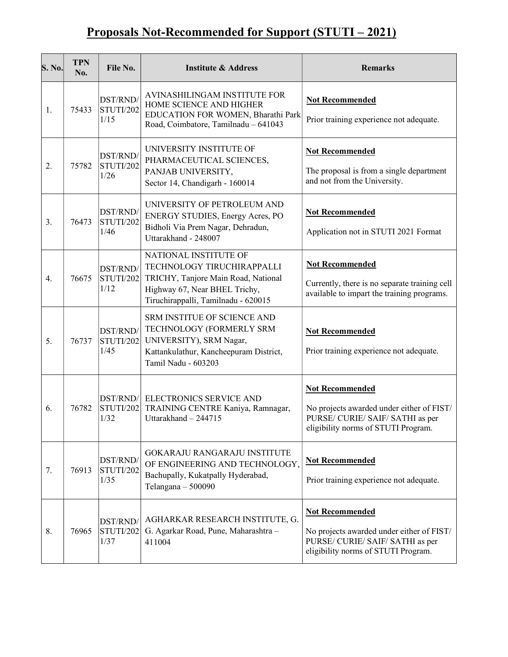## Proposals Not-Recommended for Support (STUTI – 2021)

| S. No. | <b>TPN</b><br>No. | File No.                      | <b>Institute &amp; Address</b>                                                                                                                                     | <b>Remarks</b>                                                                                                                                 |
|--------|-------------------|-------------------------------|--------------------------------------------------------------------------------------------------------------------------------------------------------------------|------------------------------------------------------------------------------------------------------------------------------------------------|
| 1.     | 75433             | DST/RND/<br>STUTI/202<br>1/15 | AVINASHILINGAM INSTITUTE FOR<br>HOME SCIENCE AND HIGHER<br>EDUCATION FOR WOMEN, Bharathi Park<br>Road, Coimbatore, Tamilnadu - 641043                              | <b>Not Recommended</b><br>Prior training experience not adequate.                                                                              |
| 2.     | 75782             | DST/RND/<br>STUTI/202<br>1/26 | UNIVERSITY INSTITUTE OF<br>PHARMACEUTICAL SCIENCES,<br>PANJAB UNIVERSITY,<br>Sector 14, Chandigarh - 160014                                                        | <b>Not Recommended</b><br>The proposal is from a single department<br>and not from the University.                                             |
| 3.     | 76473             | DST/RND/<br>STUTI/202<br>1/46 | UNIVERSITY OF PETROLEUM AND<br>ENERGY STUDIES, Energy Acres, PO<br>Bidholi Via Prem Nagar, Dehradun,<br>Uttarakhand - 248007                                       | <b>Not Recommended</b><br>Application not in STUTI 2021 Format                                                                                 |
| 4.     | 76675             | DST/RND/<br>STUTI/202<br>1/12 | NATIONAL INSTITUTE OF<br>TECHNOLOGY TIRUCHIRAPPALLI<br>TRICHY, Tanjore Main Road, National<br>Highway 67, Near BHEL Trichy,<br>Tiruchirappalli, Tamilnadu - 620015 | <b>Not Recommended</b><br>Currently, there is no separate training cell<br>available to impart the training programs.                          |
| 5.     | 76737             | DST/RND/<br>STUTI/202<br>1/45 | <b>SRM INSTITUE OF SCIENCE AND</b><br>TECHNOLOGY (FORMERLY SRM<br>UNIVERSITY), SRM Nagar,<br>Kattankulathur, Kancheepuram District,<br>Tamil Nadu - 603203         | <b>Not Recommended</b><br>Prior training experience not adequate.                                                                              |
| 6.     | 76782             | DST/RND/<br>STUTI/202<br>1/32 | ELECTRONICS SERVICE AND<br>TRAINING CENTRE Kaniya, Ramnagar,<br>Uttarakhand $-244715$                                                                              | <b>Not Recommended</b><br>No projects awarded under either of FIST/<br>PURSE/ CURIE/ SAIF/ SATHI as per<br>eligibility norms of STUTI Program. |
| 7.     | 76913             | DST/RND/<br>STUTI/202<br>1/35 | <b>GOKARAJU RANGARAJU INSTITUTE</b><br>OF ENGINEERING AND TECHNOLOGY,<br>Bachupally, Kukatpally Hyderabad,<br>Telangana - 500090                                   | <b>Not Recommended</b><br>Prior training experience not adequate.                                                                              |
| 8.     | 76965             | DST/RND/<br>STUTI/202<br>1/37 | AGHARKAR RESEARCH INSTITUTE, G.<br>G. Agarkar Road, Pune, Maharashtra -<br>411004                                                                                  | <b>Not Recommended</b><br>No projects awarded under either of FIST/<br>PURSE/ CURIE/ SAIF/ SATHI as per<br>eligibility norms of STUTI Program. |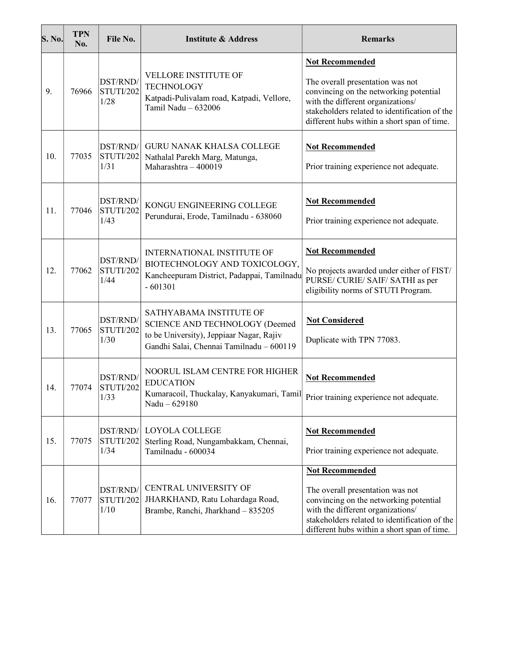| S. No. | <b>TPN</b><br>No. | File No.                      | <b>Institute &amp; Address</b>                                                                                                                           | <b>Remarks</b>                                                                                                                                                                                                                            |
|--------|-------------------|-------------------------------|----------------------------------------------------------------------------------------------------------------------------------------------------------|-------------------------------------------------------------------------------------------------------------------------------------------------------------------------------------------------------------------------------------------|
| 9.     | 76966             | DST/RND/<br>STUTI/202<br>1/28 | <b>VELLORE INSTITUTE OF</b><br><b>TECHNOLOGY</b><br>Katpadi-Pulivalam road, Katpadi, Vellore,<br>Tamil Nadu - 632006                                     | <b>Not Recommended</b><br>The overall presentation was not<br>convincing on the networking potential<br>with the different organizations/<br>stakeholders related to identification of the<br>different hubs within a short span of time. |
| 10.    | 77035             | DST/RND/<br>STUTI/202<br>1/31 | <b>GURU NANAK KHALSA COLLEGE</b><br>Nathalal Parekh Marg, Matunga,<br>Maharashtra - 400019                                                               | <b>Not Recommended</b><br>Prior training experience not adequate.                                                                                                                                                                         |
| 11.    | 77046             | DST/RND/<br>STUTI/202<br>1/43 | KONGU ENGINEERING COLLEGE<br>Perundurai, Erode, Tamilnadu - 638060                                                                                       | <b>Not Recommended</b><br>Prior training experience not adequate.                                                                                                                                                                         |
| 12.    | 77062             | DST/RND/<br>STUTI/202<br>1/44 | <b>INTERNATIONAL INSTITUTE OF</b><br>BIOTECHNOLOGY AND TOXICOLOGY,<br>Kancheepuram District, Padappai, Tamilnadu<br>$-601301$                            | <b>Not Recommended</b><br>No projects awarded under either of FIST/<br>PURSE/ CURIE/ SAIF/ SATHI as per<br>eligibility norms of STUTI Program.                                                                                            |
| 13.    | 77065             | DST/RND/<br>STUTI/202<br>1/30 | SATHYABAMA INSTITUTE OF<br>SCIENCE AND TECHNOLOGY (Deemed<br>to be University), Jeppiaar Nagar, Rajiv<br>Gandhi Salai, Chennai Tamilnadu - 600119        | <b>Not Considered</b><br>Duplicate with TPN 77083.                                                                                                                                                                                        |
| 14.    | 77074             | DST/RND/<br>STUTI/202<br>1/33 | NOORUL ISLAM CENTRE FOR HIGHER<br><b>EDUCATION</b><br>Kumaracoil, Thuckalay, Kanyakumari, Tamil Prior training experience not adequate.<br>Nadu - 629180 | <b>Not Recommended</b>                                                                                                                                                                                                                    |
| 15.    | 77075             | DST/RND/<br>STUTI/202<br>1/34 | <b>LOYOLA COLLEGE</b><br>Sterling Road, Nungambakkam, Chennai,<br>Tamilnadu - 600034                                                                     | <b>Not Recommended</b><br>Prior training experience not adequate.                                                                                                                                                                         |
| 16.    | 77077             | DST/RND/<br>STUTI/202<br>1/10 | <b>CENTRAL UNIVERSITY OF</b><br>JHARKHAND, Ratu Lohardaga Road,<br>Brambe, Ranchi, Jharkhand - 835205                                                    | <b>Not Recommended</b><br>The overall presentation was not<br>convincing on the networking potential<br>with the different organizations/<br>stakeholders related to identification of the<br>different hubs within a short span of time. |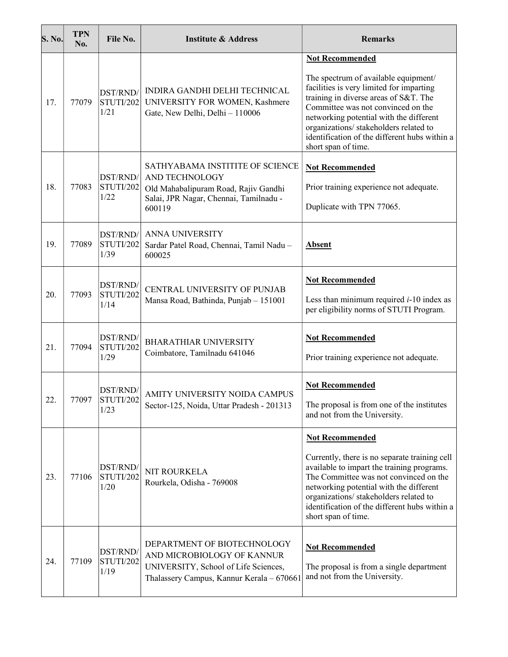| <b>S. No.</b> | <b>TPN</b><br>No. | File No.                       | <b>Institute &amp; Address</b>                                                                                                                 | <b>Remarks</b>                                                                                                                                                                                                                                                                                                                                         |
|---------------|-------------------|--------------------------------|------------------------------------------------------------------------------------------------------------------------------------------------|--------------------------------------------------------------------------------------------------------------------------------------------------------------------------------------------------------------------------------------------------------------------------------------------------------------------------------------------------------|
| 17.           | 77079             | DST/RND/<br>STUTI/202<br>1/21  | INDIRA GANDHI DELHI TECHNICAL<br>UNIVERSITY FOR WOMEN, Kashmere<br>Gate, New Delhi, Delhi - 110006                                             | <b>Not Recommended</b><br>The spectrum of available equipment/<br>facilities is very limited for imparting<br>training in diverse areas of S&T. The<br>Committee was not convinced on the<br>networking potential with the different<br>organizations/ stakeholders related to<br>identification of the different hubs within a<br>short span of time. |
| 18.           | 77083             | DST/RND/<br>STUTI/202<br>1/22  | SATHYABAMA INSTITITE OF SCIENCE<br>AND TECHNOLOGY<br>Old Mahabalipuram Road, Rajiv Gandhi<br>Salai, JPR Nagar, Chennai, Tamilnadu -<br>600119  | <b>Not Recommended</b><br>Prior training experience not adequate.<br>Duplicate with TPN 77065.                                                                                                                                                                                                                                                         |
| 19.           | 77089             | DST/RND/<br>STUTI/202<br>1/39  | <b>ANNA UNIVERSITY</b><br>Sardar Patel Road, Chennai, Tamil Nadu -<br>600025                                                                   | <b>Absent</b>                                                                                                                                                                                                                                                                                                                                          |
| 20.           | 77093             | DST/RND/<br>STUTI/202<br>1/14  | CENTRAL UNIVERSITY OF PUNJAB<br>Mansa Road, Bathinda, Punjab - 151001                                                                          | <b>Not Recommended</b><br>Less than minimum required $i-10$ index as<br>per eligibility norms of STUTI Program.                                                                                                                                                                                                                                        |
| 21.           | 77094             | DST/RND/<br>STUTI/202<br>1/29  | <b>BHARATHIAR UNIVERSITY</b><br>Coimbatore, Tamilnadu 641046                                                                                   | <b>Not Recommended</b><br>Prior training experience not adequate.                                                                                                                                                                                                                                                                                      |
| 22.           | 77097             | DST/RND/<br> STUTI/202<br>1/23 | AMITY UNIVERSITY NOIDA CAMPUS<br>Sector-125, Noida, Uttar Pradesh - 201313                                                                     | <b>Not Recommended</b><br>The proposal is from one of the institutes<br>and not from the University.                                                                                                                                                                                                                                                   |
| 23.           | 77106             | DST/RND/<br>STUTI/202<br>1/20  | NIT ROURKELA<br>Rourkela, Odisha - 769008                                                                                                      | <b>Not Recommended</b><br>Currently, there is no separate training cell<br>available to impart the training programs.<br>The Committee was not convinced on the<br>networking potential with the different<br>organizations/ stakeholders related to<br>identification of the different hubs within a<br>short span of time.                           |
| 24.           | 77109             | DST/RND/<br>STUTI/202<br>1/19  | DEPARTMENT OF BIOTECHNOLOGY<br>AND MICROBIOLOGY OF KANNUR<br>UNIVERSITY, School of Life Sciences,<br>Thalassery Campus, Kannur Kerala - 670661 | <b>Not Recommended</b><br>The proposal is from a single department<br>and not from the University.                                                                                                                                                                                                                                                     |